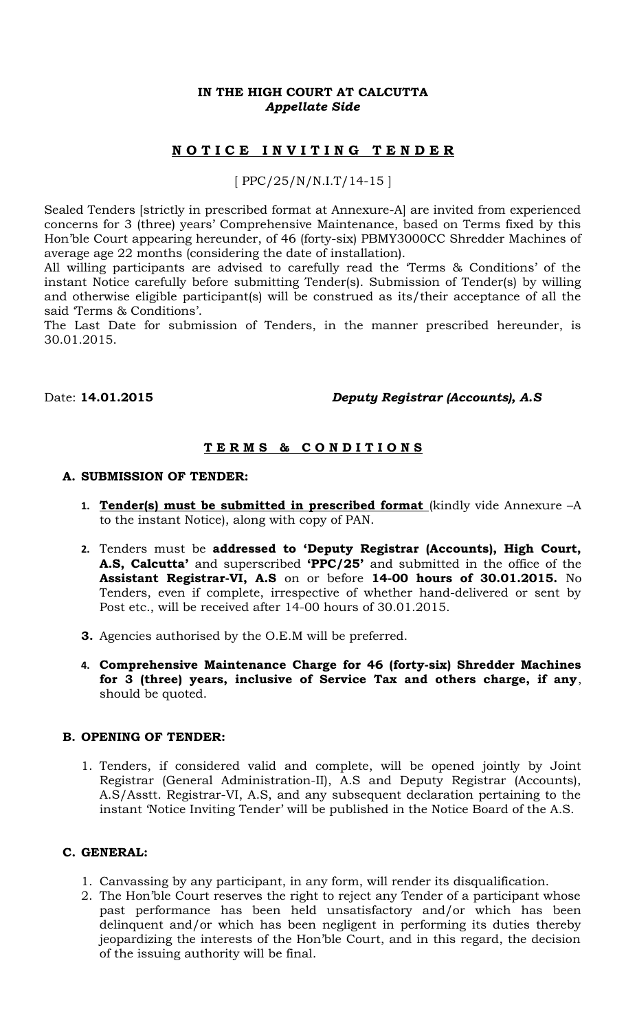### **IN THE HIGH COURT AT CALCUTTA** *Appellate Side*

# **N O T I C E I N V I T I N G T E N D E R**

## [ PPC/25/N/N.I.T/14-15 ]

Sealed Tenders [strictly in prescribed format at Annexure-A] are invited from experienced concerns for 3 (three) years' Comprehensive Maintenance, based on Terms fixed by this Hon'ble Court appearing hereunder, of 46 (forty-six) PBMY3000CC Shredder Machines of average age 22 months (considering the date of installation).

All willing participants are advised to carefully read the 'Terms & Conditions' of the instant Notice carefully before submitting Tender(s). Submission of Tender(s) by willing and otherwise eligible participant(s) will be construed as its/their acceptance of all the said 'Terms & Conditions'.

The Last Date for submission of Tenders, in the manner prescribed hereunder, is 30.01.2015.

### Date: **14.01.2015** *Deputy Registrar (Accounts), A.S*

# **T E R M S & C O N D I T I O N S**

#### **A. SUBMISSION OF TENDER:**

- 1. **Tender(s) must be submitted in prescribed format** (kindly vide Annexure -A to the instant Notice), along with copy of PAN.
- **2.** Tenders must be **addressed to 'Deputy Registrar (Accounts), High Court, A.S, Calcutta'** and superscribed **'PPC/25'** and submitted in the office of the **Assistant Registrar-VI, A.S** on or before **14-00 hours of 30.01.2015.** No Tenders, even if complete, irrespective of whether hand-delivered or sent by Post etc., will be received after 14-00 hours of 30.01.2015.
- **3.** Agencies authorised by the O.E.M will be preferred.
- **4. Comprehensive Maintenance Charge for 46 (forty-six) Shredder Machines for 3 (three) years, inclusive of Service Tax and others charge, if any**, should be quoted.

#### **B. OPENING OF TENDER:**

1. Tenders, if considered valid and complete, will be opened jointly by Joint Registrar (General Administration-II), A.S and Deputy Registrar (Accounts), A.S/Asstt. Registrar-VI, A.S, and any subsequent declaration pertaining to the instant 'Notice Inviting Tender' will be published in the Notice Board of the A.S.

#### **C. GENERAL:**

- 1. Canvassing by any participant, in any form, will render its disqualification.
- 2. The Hon'ble Court reserves the right to reject any Tender of a participant whose past performance has been held unsatisfactory and/or which has been delinquent and/or which has been negligent in performing its duties thereby jeopardizing the interests of the Hon'ble Court, and in this regard, the decision of the issuing authority will be final.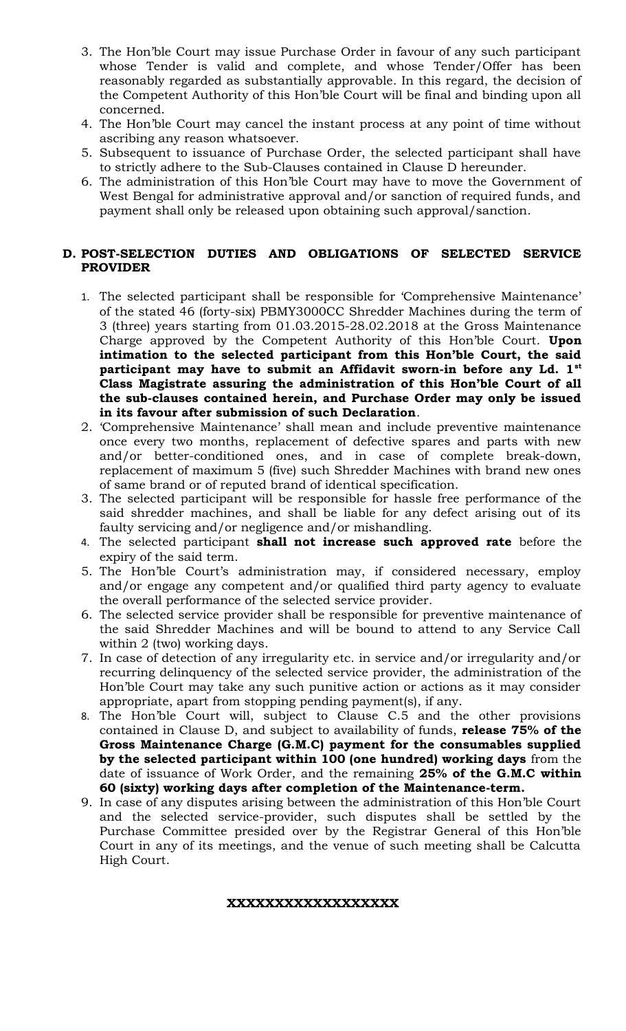- 3. The Hon'ble Court may issue Purchase Order in favour of any such participant whose Tender is valid and complete, and whose Tender/Offer has been reasonably regarded as substantially approvable. In this regard, the decision of the Competent Authority of this Hon'ble Court will be final and binding upon all concerned.
- 4. The Hon'ble Court may cancel the instant process at any point of time without ascribing any reason whatsoever.
- 5. Subsequent to issuance of Purchase Order, the selected participant shall have to strictly adhere to the Sub-Clauses contained in Clause D hereunder.
- 6. The administration of this Hon'ble Court may have to move the Government of West Bengal for administrative approval and/or sanction of required funds, and payment shall only be released upon obtaining such approval/sanction.

### **D. POST-SELECTION DUTIES AND OBLIGATIONS OF SELECTED SERVICE PROVIDER**

- 1. The selected participant shall be responsible for 'Comprehensive Maintenance' of the stated 46 (forty-six) PBMY3000CC Shredder Machines during the term of 3 (three) years starting from 01.03.2015-28.02.2018 at the Gross Maintenance Charge approved by the Competent Authority of this Hon'ble Court. **Upon intimation to the selected participant from this Hon'ble Court, the said participant may have to submit an Affidavit sworn-in before any Ld. 1st Class Magistrate assuring the administration of this Hon'ble Court of all the sub-clauses contained herein, and Purchase Order may only be issued in its favour after submission of such Declaration**.
- 2. 'Comprehensive Maintenance' shall mean and include preventive maintenance once every two months, replacement of defective spares and parts with new and/or better-conditioned ones, and in case of complete break-down, replacement of maximum 5 (five) such Shredder Machines with brand new ones of same brand or of reputed brand of identical specification.
- 3. The selected participant will be responsible for hassle free performance of the said shredder machines, and shall be liable for any defect arising out of its faulty servicing and/or negligence and/or mishandling.
- 4. The selected participant **shall not increase such approved rate** before the expiry of the said term.
- 5. The Hon'ble Court's administration may, if considered necessary, employ and/or engage any competent and/or qualified third party agency to evaluate the overall performance of the selected service provider.
- 6. The selected service provider shall be responsible for preventive maintenance of the said Shredder Machines and will be bound to attend to any Service Call within 2 (two) working days.
- 7. In case of detection of any irregularity etc. in service and/or irregularity and/or recurring delinquency of the selected service provider, the administration of the Hon'ble Court may take any such punitive action or actions as it may consider appropriate, apart from stopping pending payment(s), if any.
- 8. The Hon'ble Court will, subject to Clause C.5 and the other provisions contained in Clause D, and subject to availability of funds, **release 75% of the Gross Maintenance Charge (G.M.C) payment for the consumables supplied by the selected participant within 100 (one hundred) working days** from the date of issuance of Work Order, and the remaining **25% of the G.M.C within 60 (sixty) working days after completion of the Maintenance-term.**
- 9. In case of any disputes arising between the administration of this Hon'ble Court and the selected service-provider, such disputes shall be settled by the Purchase Committee presided over by the Registrar General of this Hon'ble Court in any of its meetings, and the venue of such meeting shall be Calcutta High Court.

### **XXXXXXXXXXXXXXXXXX**